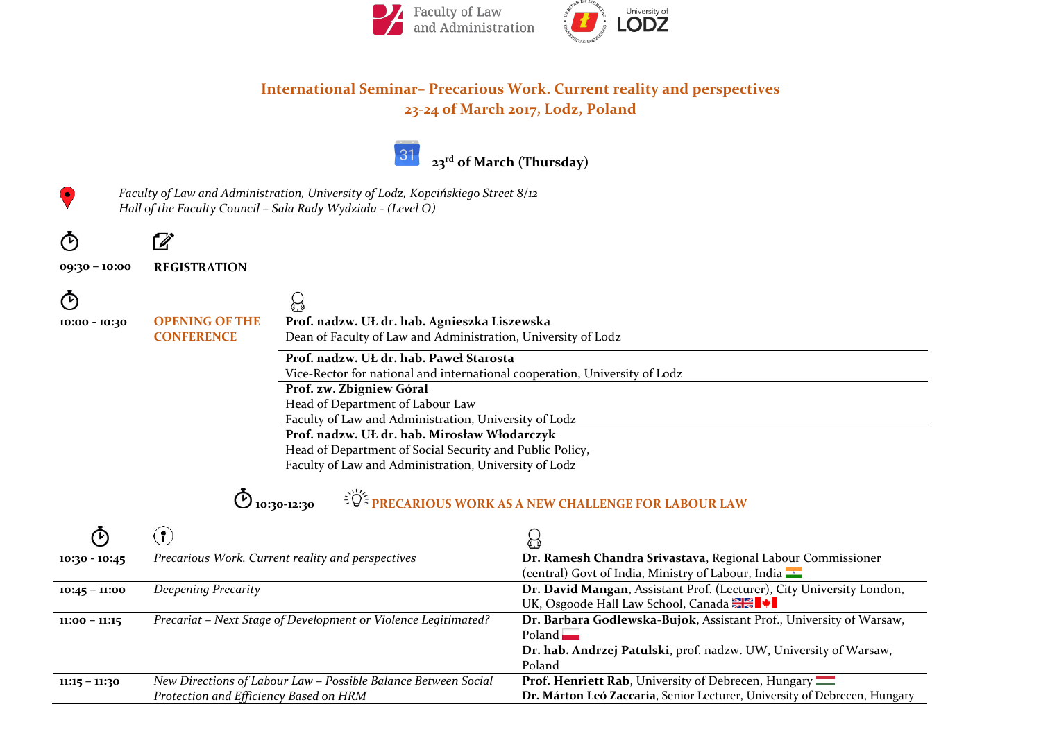



#### **International Seminar– Precarious Work. Current reality and perspectives 23-24 of March 2017, Lodz, Poland**



*Faculty of Law and Administration, University of Lodz, Kopcińskiego Street 8/12 Hall of the Faculty Council – Sala Rady Wydziału - (Level O)*



 $\bullet$ 

**09:30 – 10:00 REGISTRATION**

| <b>OPENING OF THE</b><br>Prof. nadzw. UŁ dr. hab. Agnieszka Liszewska<br>10:00 - 10:30<br>Dean of Faculty of Law and Administration, University of Lodz<br><b>CONFERENCE</b><br>Prof. nadzw. UŁ dr. hab. Paweł Starosta<br>Vice-Rector for national and international cooperation, University of Lodz<br>Prof. zw. Zbigniew Góral<br>Head of Department of Labour Law<br>Faculty of Law and Administration, University of Lodz<br>Prof. nadzw. UŁ dr. hab. Mirosław Włodarczyk<br>Head of Department of Social Security and Public Policy,<br>Faculty of Law and Administration, University of Lodz<br><b>O</b> 10:30-12:30 $\Rightarrow$ $\overleftrightarrow{S}$ $\overleftrightarrow{S}$ PRECARIOUS WORK AS A NEW CHALLENGE FOR LABOUR LAW<br>Dr. Ramesh Chandra Srivastava, Regional Labour Commissioner<br>Precarious Work. Current reality and perspectives<br>10:30 - 10:45<br>(central) Govt of India, Ministry of Labour, India<br>Deepening Precarity<br>$10:45 - 11:00$<br>UK, Osgoode Hall Law School, Canada<br>Precariat - Next Stage of Development or Violence Legitimated?<br>$11:00 - 11:15$<br>Poland <b>Land</b><br>Dr. hab. Andrzej Patulski, prof. nadzw. UW, University of Warsaw,<br>Poland | $\Phi$ |  | € |                                                                           |
|---------------------------------------------------------------------------------------------------------------------------------------------------------------------------------------------------------------------------------------------------------------------------------------------------------------------------------------------------------------------------------------------------------------------------------------------------------------------------------------------------------------------------------------------------------------------------------------------------------------------------------------------------------------------------------------------------------------------------------------------------------------------------------------------------------------------------------------------------------------------------------------------------------------------------------------------------------------------------------------------------------------------------------------------------------------------------------------------------------------------------------------------------------------------------------------------------------------------|--------|--|---|---------------------------------------------------------------------------|
|                                                                                                                                                                                                                                                                                                                                                                                                                                                                                                                                                                                                                                                                                                                                                                                                                                                                                                                                                                                                                                                                                                                                                                                                                     |        |  |   |                                                                           |
|                                                                                                                                                                                                                                                                                                                                                                                                                                                                                                                                                                                                                                                                                                                                                                                                                                                                                                                                                                                                                                                                                                                                                                                                                     |        |  |   |                                                                           |
|                                                                                                                                                                                                                                                                                                                                                                                                                                                                                                                                                                                                                                                                                                                                                                                                                                                                                                                                                                                                                                                                                                                                                                                                                     |        |  |   |                                                                           |
|                                                                                                                                                                                                                                                                                                                                                                                                                                                                                                                                                                                                                                                                                                                                                                                                                                                                                                                                                                                                                                                                                                                                                                                                                     |        |  |   |                                                                           |
|                                                                                                                                                                                                                                                                                                                                                                                                                                                                                                                                                                                                                                                                                                                                                                                                                                                                                                                                                                                                                                                                                                                                                                                                                     |        |  |   |                                                                           |
|                                                                                                                                                                                                                                                                                                                                                                                                                                                                                                                                                                                                                                                                                                                                                                                                                                                                                                                                                                                                                                                                                                                                                                                                                     |        |  |   |                                                                           |
|                                                                                                                                                                                                                                                                                                                                                                                                                                                                                                                                                                                                                                                                                                                                                                                                                                                                                                                                                                                                                                                                                                                                                                                                                     |        |  |   |                                                                           |
|                                                                                                                                                                                                                                                                                                                                                                                                                                                                                                                                                                                                                                                                                                                                                                                                                                                                                                                                                                                                                                                                                                                                                                                                                     |        |  |   |                                                                           |
|                                                                                                                                                                                                                                                                                                                                                                                                                                                                                                                                                                                                                                                                                                                                                                                                                                                                                                                                                                                                                                                                                                                                                                                                                     |        |  |   |                                                                           |
|                                                                                                                                                                                                                                                                                                                                                                                                                                                                                                                                                                                                                                                                                                                                                                                                                                                                                                                                                                                                                                                                                                                                                                                                                     |        |  |   |                                                                           |
|                                                                                                                                                                                                                                                                                                                                                                                                                                                                                                                                                                                                                                                                                                                                                                                                                                                                                                                                                                                                                                                                                                                                                                                                                     |        |  |   |                                                                           |
|                                                                                                                                                                                                                                                                                                                                                                                                                                                                                                                                                                                                                                                                                                                                                                                                                                                                                                                                                                                                                                                                                                                                                                                                                     |        |  |   |                                                                           |
|                                                                                                                                                                                                                                                                                                                                                                                                                                                                                                                                                                                                                                                                                                                                                                                                                                                                                                                                                                                                                                                                                                                                                                                                                     |        |  |   | Dr. David Mangan, Assistant Prof. (Lecturer), City University London,     |
|                                                                                                                                                                                                                                                                                                                                                                                                                                                                                                                                                                                                                                                                                                                                                                                                                                                                                                                                                                                                                                                                                                                                                                                                                     |        |  |   | Dr. Barbara Godlewska-Bujok, Assistant Prof., University of Warsaw,       |
|                                                                                                                                                                                                                                                                                                                                                                                                                                                                                                                                                                                                                                                                                                                                                                                                                                                                                                                                                                                                                                                                                                                                                                                                                     |        |  |   |                                                                           |
|                                                                                                                                                                                                                                                                                                                                                                                                                                                                                                                                                                                                                                                                                                                                                                                                                                                                                                                                                                                                                                                                                                                                                                                                                     |        |  |   |                                                                           |
| <b>Prof. Henriett Rab</b> , University of Debrecen, Hungary<br>New Directions of Labour Law - Possible Balance Between Social<br>$11:15 - 11:30$                                                                                                                                                                                                                                                                                                                                                                                                                                                                                                                                                                                                                                                                                                                                                                                                                                                                                                                                                                                                                                                                    |        |  |   |                                                                           |
| Protection and Efficiency Based on HRM                                                                                                                                                                                                                                                                                                                                                                                                                                                                                                                                                                                                                                                                                                                                                                                                                                                                                                                                                                                                                                                                                                                                                                              |        |  |   | Dr. Márton Leó Zaccaria, Senior Lecturer, University of Debrecen, Hungary |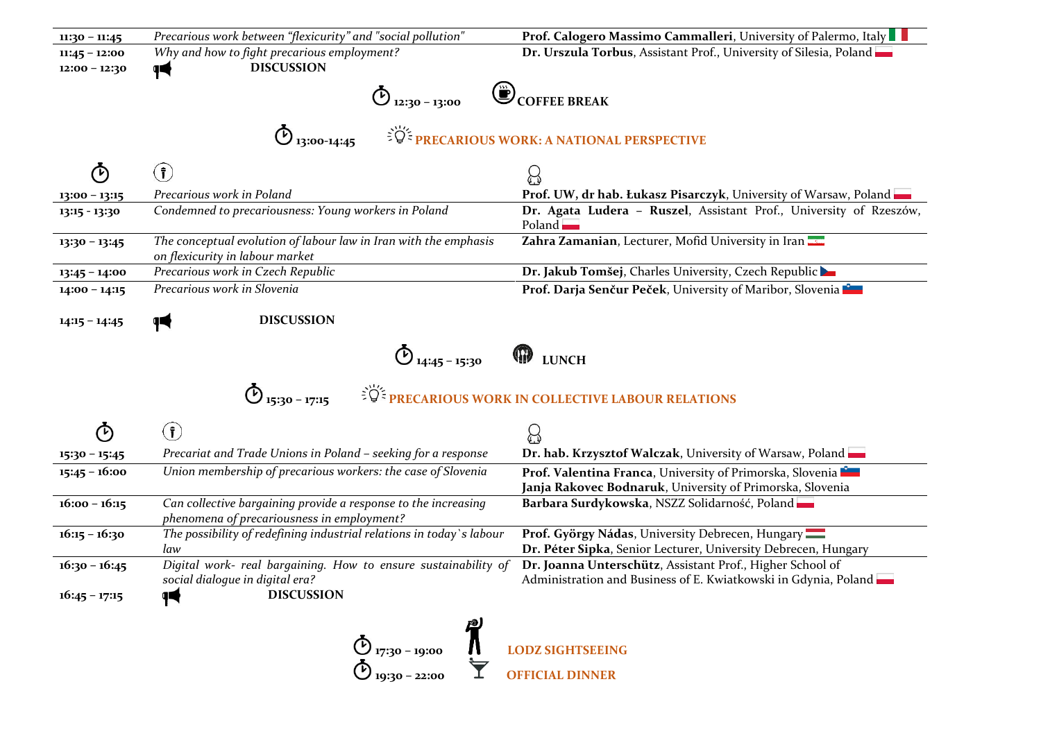| $11:30 - 11:45$ | Precarious work between "flexicurity" and "social pollution"                                              | Prof. Calogero Massimo Cammalleri, University of Palermo, Italy                                                        |
|-----------------|-----------------------------------------------------------------------------------------------------------|------------------------------------------------------------------------------------------------------------------------|
| $11:45 - 12:00$ | Why and how to fight precarious employment?                                                               | Dr. Urszula Torbus, Assistant Prof., University of Silesia, Poland                                                     |
| $12:00 - 12:30$ | <b>DISCUSSION</b><br>14                                                                                   |                                                                                                                        |
|                 | $\bigodot$ 12:30 - 13:00 $\bigodot$ COFFEE BREAK                                                          |                                                                                                                        |
|                 |                                                                                                           |                                                                                                                        |
|                 | $\Phi_{13:00-14:45}$ $\mathbb{E} \check{\mathbb{Q}}^2$ PRECARIOUS WORK: A NATIONAL PERSPECTIVE            |                                                                                                                        |
|                 |                                                                                                           |                                                                                                                        |
| の               | $(\mathbf{\hat{i}})$                                                                                      |                                                                                                                        |
|                 |                                                                                                           | $\Omega$                                                                                                               |
| 13:00 - 13:15   | Precarious work in Poland                                                                                 | Prof. UW, dr hab. Łukasz Pisarczyk, University of Warsaw, Poland                                                       |
| 13:15 - 13:30   | Condemned to precariousness: Young workers in Poland                                                      | Dr. Agata Ludera - Ruszel, Assistant Prof., University of Rzeszów,<br>Poland <b>Land</b>                               |
| $13:30 - 13:45$ | The conceptual evolution of labour law in Iran with the emphasis<br>on flexicurity in labour market       | Zahra Zamanian, Lecturer, Mofid University in Iran                                                                     |
| 13:45 - 14:00   | Precarious work in Czech Republic                                                                         | Dr. Jakub Tomšej, Charles University, Czech Republic                                                                   |
| $14:00 - 14:15$ | Precarious work in Slovenia                                                                               | <b>Prof. Darja Senčur Peček</b> , University of Maribor, Slovenia                                                      |
|                 |                                                                                                           |                                                                                                                        |
| $14:15 - 14:45$ | <b>DISCUSSION</b><br>14                                                                                   |                                                                                                                        |
|                 |                                                                                                           |                                                                                                                        |
|                 |                                                                                                           |                                                                                                                        |
|                 | $\bigcirc$ 14:45 - 15:30 $\bigcirc$ LUNCH                                                                 |                                                                                                                        |
|                 |                                                                                                           |                                                                                                                        |
|                 | $\Phi_{15:30-17:15}$ $\ddot{\xi} \ddot{\varphi} \dot{\xi}$ PRECARIOUS WORK IN COLLECTIVE LABOUR RELATIONS |                                                                                                                        |
| ტ               |                                                                                                           |                                                                                                                        |
|                 | $\left(\mathbf{\hat{i}}\right)$                                                                           | $\Omega$                                                                                                               |
| $15:30 - 15:45$ | Precariat and Trade Unions in Poland - seeking for a response                                             | Dr. hab. Krzysztof Walczak, University of Warsaw, Poland                                                               |
| $15:45 - 16:00$ | Union membership of precarious workers: the case of Slovenia                                              | Prof. Valentina Franca, University of Primorska, Slovenia<br>Janja Rakovec Bodnaruk, University of Primorska, Slovenia |
| $16:00 - 16:15$ | Can collective bargaining provide a response to the increasing                                            | Barbara Surdykowska, NSZZ Solidarność, Poland                                                                          |
|                 | phenomena of precariousness in employment?                                                                |                                                                                                                        |
| $16:15 - 16:30$ | The possibility of redefining industrial relations in today's labour                                      | Prof. György Nádas, University Debrecen, Hungary                                                                       |
|                 | law                                                                                                       | Dr. Péter Sipka, Senior Lecturer, University Debrecen, Hungary                                                         |
| $16:30 - 16:45$ | Digital work- real bargaining. How to ensure sustainability of                                            | Dr. Joanna Unterschütz, Assistant Prof., Higher School of                                                              |
|                 | social dialogue in digital era?                                                                           | Administration and Business of E. Kwiatkowski in Gdynia, Poland                                                        |
| $16:45 - 17:15$ | <b>DISCUSSION</b><br>14                                                                                   |                                                                                                                        |

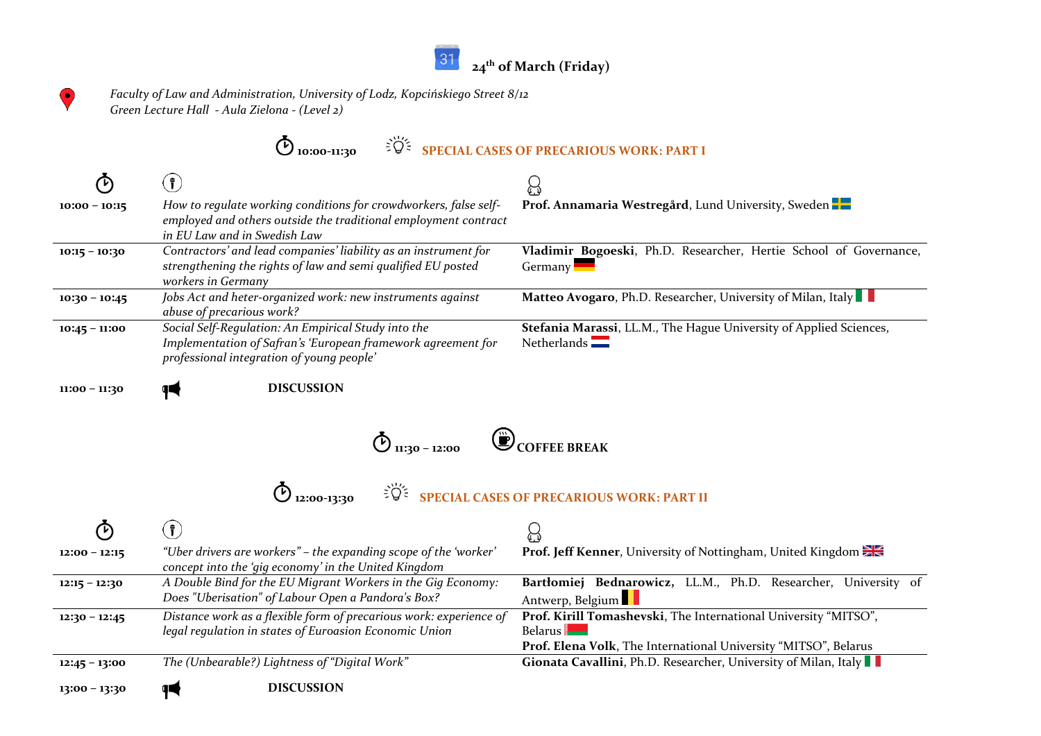

 $\bullet$ 

*Faculty of Law and Administration, University of Lodz, Kopcińskiego Street 8/12 Green Lecture Hall - Aula Zielona - (Level 2)*



| ↷               | $\hat{J}$                                                                                                                                                           |                                                                                                                                                            |
|-----------------|---------------------------------------------------------------------------------------------------------------------------------------------------------------------|------------------------------------------------------------------------------------------------------------------------------------------------------------|
| $10:00 - 10:15$ | How to regulate working conditions for crowdworkers, false self-<br>employed and others outside the traditional employment contract<br>in EU Law and in Swedish Law | Prof. Annamaria Westregård, Lund University, Sweden                                                                                                        |
| $10:15 - 10:30$ | Contractors' and lead companies' liability as an instrument for<br>strengthening the rights of law and semi qualified EU posted<br>workers in Germany               | Vladimir Bogoeski, Ph.D. Researcher, Hertie School of Governance,<br>Germany                                                                               |
| $10:30 - 10:45$ | Jobs Act and heter-organized work: new instruments against<br>abuse of precarious work?                                                                             | Matteo Avogaro, Ph.D. Researcher, University of Milan, Italy                                                                                               |
| $10:45 - 11:00$ | Social Self-Regulation: An Empirical Study into the<br>Implementation of Safran's 'European framework agreement for<br>professional integration of young people'    | Stefania Marassi, LL.M., The Hague University of Applied Sciences,<br>Netherlands $\Box$                                                                   |
| $11:00 - 11:30$ | <b>DISCUSSION</b><br>19                                                                                                                                             |                                                                                                                                                            |
|                 | $\bigodot$ 11:30 - 12:00 $\bigodot$ COFFEE BREAK<br>$\Phi$ 12:00-13:30 $\frac{3}{2}$ $\frac{1}{2}$ $\frac{1}{2}$ SPECIAL CASES OF PRECARIOUS WORK: PART II          |                                                                                                                                                            |
| ⁄ ৌ             | $(\mathbf{\hat{i}})$                                                                                                                                                |                                                                                                                                                            |
| $12:00 - 12:15$ | "Uber drivers are workers" - the expanding scope of the 'worker'<br>concept into the 'gig economy' in the United Kingdom                                            | <b>Prof. Jeff Kenner</b> , University of Nottingham, United Kingdom                                                                                        |
| $12:15 - 12:30$ | A Double Bind for the EU Migrant Workers in the Gig Economy:<br>Does "Uberisation" of Labour Open a Pandora's Box?                                                  | Bartłomiej Bednarowicz, LL.M., Ph.D. Researcher, University of<br>Antwerp, Belgium                                                                         |
| $12:30 - 12:45$ | Distance work as a flexible form of precarious work: experience of<br>legal regulation in states of Euroasion Economic Union                                        | Prof. Kirill Tomashevski, The International University "MITSO",<br>Belarus <b>Forma</b><br>Prof. Elena Volk, The International University "MITSO", Belarus |
| $12:45 - 13:00$ | The (Unbearable?) Lightness of "Digital Work"                                                                                                                       | Gionata Cavallini, Ph.D. Researcher, University of Milan, Italy                                                                                            |
| 13:00 - 13:30   | <b>DISCUSSION</b><br>14                                                                                                                                             |                                                                                                                                                            |